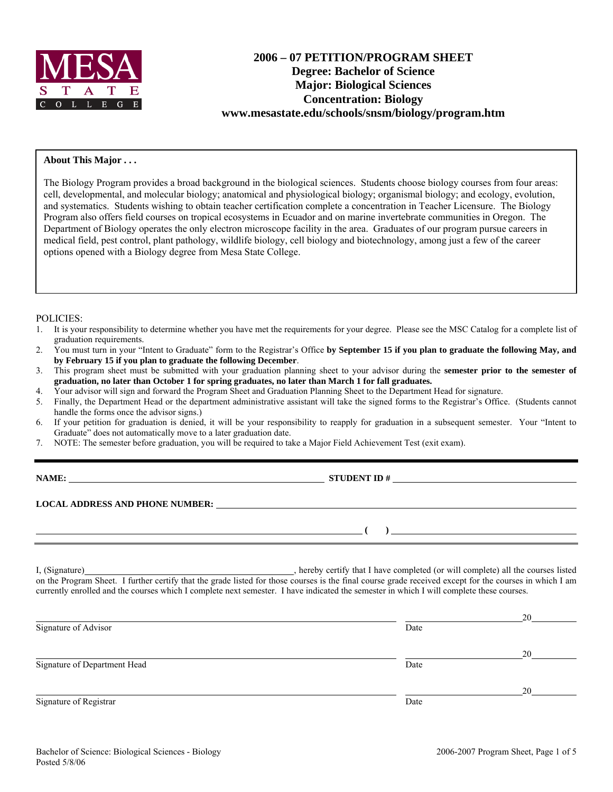

# **2006 – 07 PETITION/PROGRAM SHEET Degree: Bachelor of Science Major: Biological Sciences Concentration: Biology www.mesastate.edu/schools/snsm/biology/program.htm**

### **About This Major . . .**

The Biology Program provides a broad background in the biological sciences. Students choose biology courses from four areas: cell, developmental, and molecular biology; anatomical and physiological biology; organismal biology; and ecology, evolution, and systematics. Students wishing to obtain teacher certification complete a concentration in Teacher Licensure. The Biology Program also offers field courses on tropical ecosystems in Ecuador and on marine invertebrate communities in Oregon. The Department of Biology operates the only electron microscope facility in the area. Graduates of our program pursue careers in medical field, pest control, plant pathology, wildlife biology, cell biology and biotechnology, among just a few of the career options opened with a Biology degree from Mesa State College.

#### POLICIES:

- 1. It is your responsibility to determine whether you have met the requirements for your degree. Please see the MSC Catalog for a complete list of graduation requirements.
- 2. You must turn in your "Intent to Graduate" form to the Registrar's Office **by September 15 if you plan to graduate the following May, and by February 15 if you plan to graduate the following December**.
- 3. This program sheet must be submitted with your graduation planning sheet to your advisor during the **semester prior to the semester of graduation, no later than October 1 for spring graduates, no later than March 1 for fall graduates.**
- 4. Your advisor will sign and forward the Program Sheet and Graduation Planning Sheet to the Department Head for signature.
- 5. Finally, the Department Head or the department administrative assistant will take the signed forms to the Registrar's Office. (Students cannot handle the forms once the advisor signs.)
- 6. If your petition for graduation is denied, it will be your responsibility to reapply for graduation in a subsequent semester. Your "Intent to Graduate" does not automatically move to a later graduation date.
- 7. NOTE: The semester before graduation, you will be required to take a Major Field Achievement Test (exit exam).

**NAME: STUDENT ID # STUDENT ID # STUDENT ID # STUDENT ID # STUDENT ID # STUDENT ID # STUDENT ID # STUDENT ID # STUDENT ID # STUDENT ID # STUDENT ID # STUDENT ID # STUDENT # STUDENT # STUDENT #** 

 **(** ) <u> **(** ) **d** ( ) **i** ( ) **i** ( ) **i** ( ) **i** ( ) **i** ( ) **i** ( ) **i** ( ) **i** ( ) **i** ( ) **i** ( ) **i** ( ) **i** ( ) **i** ( ) **i** ( ) **i** ( ) **i** ( ) **i** ( ) **i** ( ) **i** ( ) **i** ( ) **i** ( ) **i** ( ) **i** ( ) **i** ( ) **i** ( )</u>

**LOCAL ADDRESS AND PHONE NUMBER:**

I, (Signature) , hereby certify that I have completed (or will complete) all the courses listed on the Program Sheet. I further certify that the grade listed for those courses is the final course grade received except for the courses in which I am currently enrolled and the courses which I complete next semester. I have indicated the semester in which I will complete these courses.

|                              |      | 20 |
|------------------------------|------|----|
| Signature of Advisor         | Date |    |
|                              |      | 20 |
| Signature of Department Head | Date |    |
|                              |      | 20 |
| Signature of Registrar       | Date |    |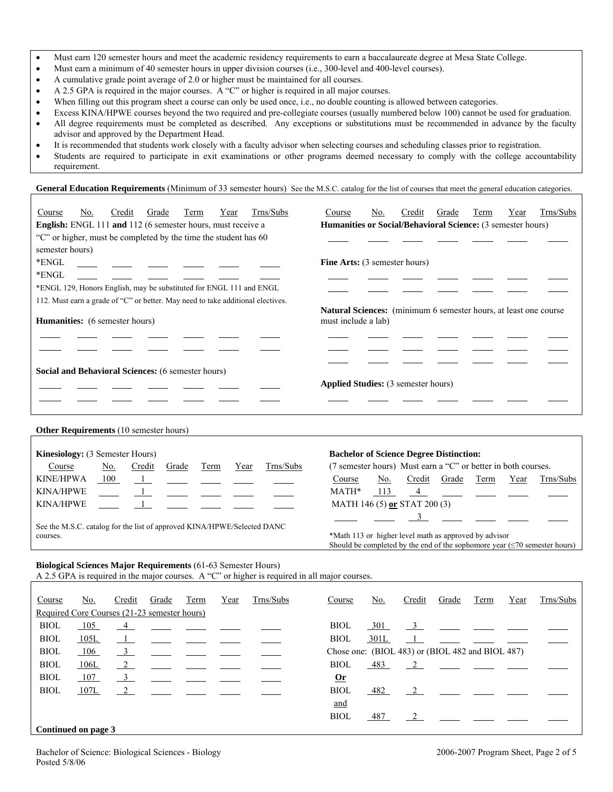- Must earn 120 semester hours and meet the academic residency requirements to earn a baccalaureate degree at Mesa State College.
- Must earn a minimum of 40 semester hours in upper division courses (i.e., 300-level and 400-level courses).
- A cumulative grade point average of 2.0 or higher must be maintained for all courses.
- A 2.5 GPA is required in the major courses. A "C" or higher is required in all major courses.
- When filling out this program sheet a course can only be used once, i.e., no double counting is allowed between categories.
- Excess KINA/HPWE courses beyond the two required and pre-collegiate courses (usually numbered below 100) cannot be used for graduation. • All degree requirements must be completed as described. Any exceptions or substitutions must be recommended in advance by the faculty advisor and approved by the Department Head.
- It is recommended that students work closely with a faculty advisor when selecting courses and scheduling classes prior to registration.
- Students are required to participate in exit examinations or other programs deemed necessary to comply with the college accountability requirement.

General Education Requirements (Minimum of 33 semester hours) See the M.S.C. catalog for the list of courses that meet the general education categories.

| Course          | No.                                                                                                                      | Credit                                                              | Grade | Term | Year | Trns/Subs | Course                                                      | No.                                                                                            | Credit | Grade | Term | Year | Trns/Subs |  |  |
|-----------------|--------------------------------------------------------------------------------------------------------------------------|---------------------------------------------------------------------|-------|------|------|-----------|-------------------------------------------------------------|------------------------------------------------------------------------------------------------|--------|-------|------|------|-----------|--|--|
|                 |                                                                                                                          | <b>English:</b> ENGL 111 and 112 (6 semester hours, must receive a  |       |      |      |           | Humanities or Social/Behavioral Science: (3 semester hours) |                                                                                                |        |       |      |      |           |  |  |
|                 |                                                                                                                          | "C" or higher, must be completed by the time the student has 60     |       |      |      |           |                                                             |                                                                                                |        |       |      |      |           |  |  |
| semester hours) |                                                                                                                          |                                                                     |       |      |      |           |                                                             |                                                                                                |        |       |      |      |           |  |  |
| *ENGL           |                                                                                                                          |                                                                     |       |      |      |           | <b>Fine Arts:</b> (3 semester hours)                        |                                                                                                |        |       |      |      |           |  |  |
| *ENGL           |                                                                                                                          |                                                                     |       |      |      |           |                                                             |                                                                                                |        |       |      |      |           |  |  |
|                 |                                                                                                                          | *ENGL 129, Honors English, may be substituted for ENGL 111 and ENGL |       |      |      |           |                                                             |                                                                                                |        |       |      |      |           |  |  |
|                 |                                                                                                                          |                                                                     |       |      |      |           |                                                             |                                                                                                |        |       |      |      |           |  |  |
|                 | 112. Must earn a grade of "C" or better. May need to take additional electives.<br><b>Humanities:</b> (6 semester hours) |                                                                     |       |      |      |           |                                                             | <b>Natural Sciences:</b> (minimum 6 semester hours, at least one course<br>must include a lab) |        |       |      |      |           |  |  |
|                 |                                                                                                                          |                                                                     |       |      |      |           |                                                             |                                                                                                |        |       |      |      |           |  |  |
|                 |                                                                                                                          |                                                                     |       |      |      |           |                                                             |                                                                                                |        |       |      |      |           |  |  |
|                 |                                                                                                                          | <b>Social and Behavioral Sciences:</b> (6 semester hours)           |       |      |      |           |                                                             |                                                                                                |        |       |      |      |           |  |  |
|                 |                                                                                                                          |                                                                     |       |      |      |           | <b>Applied Studies:</b> (3 semester hours)                  |                                                                                                |        |       |      |      |           |  |  |
|                 |                                                                                                                          |                                                                     |       |      |      |           |                                                             |                                                                                                |        |       |      |      |           |  |  |
|                 |                                                                                                                          |                                                                     |       |      |      |           |                                                             |                                                                                                |        |       |      |      |           |  |  |
|                 |                                                                                                                          | <b>Other Requirements</b> (10 semester hours)                       |       |      |      |           |                                                             |                                                                                                |        |       |      |      |           |  |  |

| <b>Kinesiology:</b> (3 Semester Hours)                                              |     |        |       |      |      |                                                                                                                                          | <b>Bachelor of Science Degree Distinction:</b>                |  |  |  |  |  |
|-------------------------------------------------------------------------------------|-----|--------|-------|------|------|------------------------------------------------------------------------------------------------------------------------------------------|---------------------------------------------------------------|--|--|--|--|--|
| Course                                                                              | No. | Credit | Grade | Term | Year | Trns/Subs                                                                                                                                | (7 semester hours) Must earn a "C" or better in both courses. |  |  |  |  |  |
| KINE/HPWA                                                                           | 100 |        |       |      |      |                                                                                                                                          | Term<br>Year<br>Trns/Subs<br>No.<br>Grade<br>Credit<br>Course |  |  |  |  |  |
| KINA/HPWE                                                                           |     |        |       |      |      |                                                                                                                                          | MATH*<br>113<br>$\frac{4}{ }$                                 |  |  |  |  |  |
| KINA/HPWE                                                                           |     |        |       |      |      |                                                                                                                                          | MATH 146 (5) or STAT 200 (3)                                  |  |  |  |  |  |
| See the M.S.C. catalog for the list of approved KINA/HPWE/Selected DANC<br>courses. |     |        |       |      |      | *Math 113 or higher level math as approved by advisor<br>Should be completed by the end of the sophomore year $(\leq 70$ semester hours) |                                                               |  |  |  |  |  |

#### **Biological Sciences Major Requirements** (61-63 Semester Hours)

A 2.5 GPA is required in the major courses. A "C" or higher is required in all major courses.

| Course              | No.  | Credit                                       | Grade                                                                                                                                                                                                                                                                                                                                                                                                                           | Term | Year | Trns/Subs | Course      | No.                                                    | Credit         | Grade                                                                                                                      | Term | Year | Trns/Subs |
|---------------------|------|----------------------------------------------|---------------------------------------------------------------------------------------------------------------------------------------------------------------------------------------------------------------------------------------------------------------------------------------------------------------------------------------------------------------------------------------------------------------------------------|------|------|-----------|-------------|--------------------------------------------------------|----------------|----------------------------------------------------------------------------------------------------------------------------|------|------|-----------|
|                     |      | Required Core Courses (21-23 semester hours) |                                                                                                                                                                                                                                                                                                                                                                                                                                 |      |      |           |             |                                                        |                |                                                                                                                            |      |      |           |
| <b>BIOL</b>         | 105  |                                              | $\frac{4}{\sqrt{1-\frac{4}{\sqrt{1-\frac{4}{\sqrt{1-\frac{4}{\sqrt{1-\frac{4}{\sqrt{1-\frac{4}{\sqrt{1-\frac{4}{\sqrt{1-\frac{4}{\sqrt{1-\frac{4}{\sqrt{1-\frac{4}{\sqrt{1-\frac{4}{\sqrt{1-\frac{4}{\sqrt{1-\frac{4}{\sqrt{1-\frac{4}{\sqrt{1-\frac{4}{\sqrt{1-\frac{4}{\sqrt{1-\frac{4}{\sqrt{1-\frac{4}{\sqrt{1-\frac{4}{\sqrt{1-\frac{4}{\sqrt{1-\frac{4\frac{4}{\sqrt{1-\frac{4}}{1-\frac{4\frac{4}{\sqrt{1-\frac{4\frac{$ |      |      |           | <b>BIOL</b> | 301                                                    |                | $\frac{3}{2}$ $\frac{1}{2}$ $\frac{1}{2}$ $\frac{1}{2}$                                                                    |      |      |           |
| <b>BIOL</b>         | 105L | $\overline{1}$                               |                                                                                                                                                                                                                                                                                                                                                                                                                                 |      |      |           | <b>BIOL</b> | 301L                                                   |                |                                                                                                                            |      |      |           |
| <b>BIOL</b>         | 106  | $\overline{\mathbf{3}}$                      |                                                                                                                                                                                                                                                                                                                                                                                                                                 |      |      |           |             | Chose one: $(BIOL 483)$ or $(BIOL 482$ and $BIOL 487)$ |                |                                                                                                                            |      |      |           |
| <b>BIOL</b>         | 106L | $\frac{2}{2}$                                |                                                                                                                                                                                                                                                                                                                                                                                                                                 |      |      |           | <b>BIOL</b> | 483                                                    |                | $\overline{2}$                                                                                                             |      |      |           |
| <b>BIOL</b>         | 107  | 3                                            |                                                                                                                                                                                                                                                                                                                                                                                                                                 |      |      |           | $Or$        |                                                        |                |                                                                                                                            |      |      |           |
| <b>BIOL</b>         | 107L | $\overline{2}$                               |                                                                                                                                                                                                                                                                                                                                                                                                                                 |      |      |           | <b>BIOL</b> | 482                                                    | $\overline{2}$ | <u> Linda (Linda al II-lea ann an Stàitean an Stàitean an Stàitean an Stàitean an Stàitean an Stàitean an Stàitean an </u> |      |      |           |
|                     |      |                                              |                                                                                                                                                                                                                                                                                                                                                                                                                                 |      |      |           | <u>and</u>  |                                                        |                |                                                                                                                            |      |      |           |
|                     |      |                                              |                                                                                                                                                                                                                                                                                                                                                                                                                                 |      |      |           | <b>BIOL</b> | 487                                                    |                |                                                                                                                            |      |      |           |
| Continued on page 3 |      |                                              |                                                                                                                                                                                                                                                                                                                                                                                                                                 |      |      |           |             |                                                        |                |                                                                                                                            |      |      |           |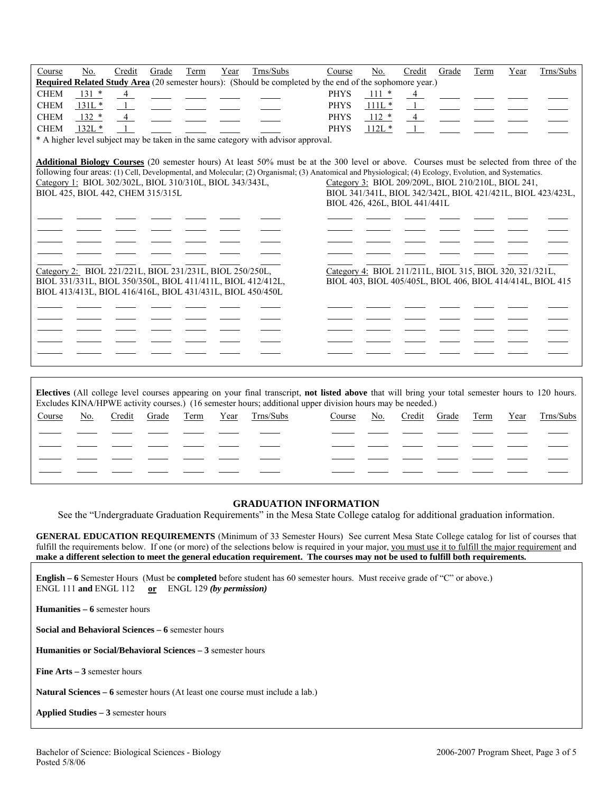| Course      | No.                                                                                           | Credit         | Grade | <b>Term</b> | Year | Trns/Subs                                                                         | Course                                                                                                                                                                                                                                                                                                | No.                                                                                  | Credit         | Grade | Term | Year | Trns/Subs                                                   |
|-------------|-----------------------------------------------------------------------------------------------|----------------|-------|-------------|------|-----------------------------------------------------------------------------------|-------------------------------------------------------------------------------------------------------------------------------------------------------------------------------------------------------------------------------------------------------------------------------------------------------|--------------------------------------------------------------------------------------|----------------|-------|------|------|-------------------------------------------------------------|
|             |                                                                                               |                |       |             |      |                                                                                   | <b>Required Related Study Area</b> (20 semester hours): (Should be completed by the end of the sophomore year.)                                                                                                                                                                                       |                                                                                      |                |       |      |      |                                                             |
| <b>CHEM</b> | $131 *$                                                                                       | $\overline{4}$ |       |             |      |                                                                                   | <b>PHYS</b>                                                                                                                                                                                                                                                                                           | $111 *$                                                                              | 4              |       |      |      |                                                             |
| <b>CHEM</b> | $131L*$                                                                                       |                |       |             |      |                                                                                   | <b>PHYS</b>                                                                                                                                                                                                                                                                                           | $111L*$                                                                              |                |       |      |      |                                                             |
| <b>CHEM</b> | $132 *$                                                                                       | $\overline{4}$ |       |             |      |                                                                                   | <b>PHYS</b>                                                                                                                                                                                                                                                                                           | $112 *$                                                                              | $\overline{4}$ |       |      |      |                                                             |
| <b>CHEM</b> | $132L*$                                                                                       |                |       |             |      |                                                                                   | <b>PHYS</b>                                                                                                                                                                                                                                                                                           | $112L*$                                                                              |                |       |      |      |                                                             |
|             |                                                                                               |                |       |             |      | * A higher level subject may be taken in the same category with advisor approval. |                                                                                                                                                                                                                                                                                                       |                                                                                      |                |       |      |      |                                                             |
|             | Category 1: BIOL 302/302L, BIOL 310/310L, BIOL 343/343L,<br>BIOL 425, BIOL 442, CHEM 315/315L |                |       |             |      |                                                                                   | Additional Biology Courses (20 semester hours) At least 50% must be at the 300 level or above. Courses must be selected from three of the<br>following four areas: (1) Cell, Developmental, and Molecular; (2) Organismal; (3) Anatomical and Physiological; (4) Ecology, Evolution, and Systematics. | Category 3: BIOL 209/209L, BIOL 210/210L, BIOL 241,<br>BIOL 426, 426L, BIOL 441/441L |                |       |      |      | BIOL 341/341L, BIOL 342/342L, BIOL 421/421L, BIOL 423/423L, |
|             | Category 2: BIOL 221/221L, BIOL 231/231L, BIOL 250/250L,                                      |                |       |             |      |                                                                                   |                                                                                                                                                                                                                                                                                                       | Category 4: BIOL 211/211L, BIOL 315, BIOL 320, 321/321L,                             |                |       |      |      |                                                             |
|             | BIOL 413/413L, BIOL 416/416L, BIOL 431/431L, BIOL 450/450L                                    |                |       |             |      | BIOL 331/331L, BIOL 350/350L, BIOL 411/411L, BIOL 412/412L,                       |                                                                                                                                                                                                                                                                                                       |                                                                                      |                |       |      |      | BIOL 403, BIOL 405/405L, BIOL 406, BIOL 414/414L, BIOL 415  |
|             |                                                                                               |                |       |             |      |                                                                                   |                                                                                                                                                                                                                                                                                                       |                                                                                      |                |       |      |      |                                                             |
|             |                                                                                               |                |       |             |      |                                                                                   |                                                                                                                                                                                                                                                                                                       |                                                                                      |                |       |      |      |                                                             |
|             |                                                                                               |                |       |             |      |                                                                                   |                                                                                                                                                                                                                                                                                                       |                                                                                      |                |       |      |      |                                                             |
|             |                                                                                               |                |       |             |      |                                                                                   |                                                                                                                                                                                                                                                                                                       |                                                                                      |                |       |      |      |                                                             |
|             |                                                                                               |                |       |             |      |                                                                                   |                                                                                                                                                                                                                                                                                                       |                                                                                      |                |       |      |      |                                                             |
|             |                                                                                               |                |       |             |      |                                                                                   |                                                                                                                                                                                                                                                                                                       |                                                                                      |                |       |      |      |                                                             |

| Electives (All college level courses appearing on your final transcript, not listed above that will bring your total semester hours to 120 hours.<br>Excludes KINA/HPWE activity courses.) (16 semester hours; additional upper division hours may be needed.) |     |        |       |      |      |           |        |     |        |       |      |      |           |
|----------------------------------------------------------------------------------------------------------------------------------------------------------------------------------------------------------------------------------------------------------------|-----|--------|-------|------|------|-----------|--------|-----|--------|-------|------|------|-----------|
| Course                                                                                                                                                                                                                                                         | No. | Credit | Grade | Term | Year | Trns/Subs | Course | No. | Credit | Grade | Term | Year | Trns/Subs |
|                                                                                                                                                                                                                                                                |     |        |       |      |      |           |        |     |        |       |      |      |           |
|                                                                                                                                                                                                                                                                |     |        |       |      |      |           |        |     |        |       |      |      |           |
|                                                                                                                                                                                                                                                                |     |        |       |      |      |           |        |     |        |       |      |      |           |
|                                                                                                                                                                                                                                                                |     |        |       |      |      |           |        |     |        |       |      |      |           |

#### **GRADUATION INFORMATION**

See the "Undergraduate Graduation Requirements" in the Mesa State College catalog for additional graduation information.

**GENERAL EDUCATION REQUIREMENTS** (Minimum of 33 Semester Hours) See current Mesa State College catalog for list of courses that fulfill the requirements below. If one (or more) of the selections below is required in your major, you must use it to fulfill the major requirement and **make a different selection to meet the general education requirement. The courses may not be used to fulfill both requirements.**

**English – 6** Semester Hours (Must be **completed** before student has 60 semester hours. Must receive grade of "C" or above.) ENGL 111 **and** ENGL 112 **or** ENGL 129 *(by permission)*

**Humanities – 6** semester hours

**Social and Behavioral Sciences – 6** semester hours

**Humanities or Social/Behavioral Sciences – 3** semester hours

**Fine Arts – 3** semester hours

**Natural Sciences – 6** semester hours (At least one course must include a lab.)

**Applied Studies – 3** semester hours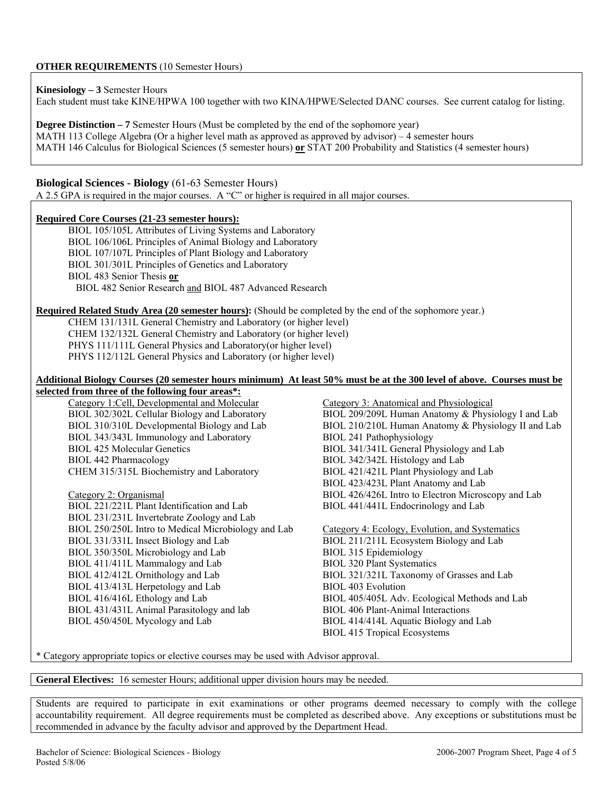**Kinesiology – 3** Semester Hours Each student must take KINE/HPWA 100 together with two KINA/HPWE/Selected DANC courses. See current catalog for listing.

**Degree Distinction – 7** Semester Hours (Must be completed by the end of the sophomore year) MATH 113 College Algebra (Or a higher level math as approved as approved by advisor) – 4 semester hours MATH 146 Calculus for Biological Sciences (5 semester hours) **or** STAT 200 Probability and Statistics (4 semester hours)

# **Biological Sciences - Biology** (61-63 Semester Hours)

A 2.5 GPA is required in the major courses. A "C" or higher is required in all major courses.

### **Required Core Courses (21-23 semester hours):**

BIOL 105/105L Attributes of Living Systems and Laboratory BIOL 106/106L Principles of Animal Biology and Laboratory BIOL 107/107L Principles of Plant Biology and Laboratory BIOL 301/301L Principles of Genetics and Laboratory BIOL 483 Senior Thesis **or** BIOL 482 Senior Research and BIOL 487 Advanced Research

### **Required Related Study Area (20 semester hours):** (Should be completed by the end of the sophomore year.)

CHEM 131/131L General Chemistry and Laboratory (or higher level) CHEM 132/132L General Chemistry and Laboratory (or higher level) PHYS 111/111L General Physics and Laboratory(or higher level) PHYS 112/112L General Physics and Laboratory (or higher level)

### **Additional Biology Courses (20 semester hours minimum) At least 50% must be at the 300 level of above. Courses must be selected from three of the following four areas\*:**

Category 1:Cell, Developmental and Molecular Category 3: Anatomical and Physiological BIOL 343/343L Immunology and Laboratory BIOL 241 Pathophysiology BIOL 425 Molecular Genetics BIOL 341/341L General Physiology and Lab BIOL 442 Pharmacology BIOL 342/342L Histology and Lab CHEM 315/315L Biochemistry and Laboratory BIOL 421/421L Plant Physiology and Lab

Category 2: Organismal BIOL 426/426L Intro to Electron Microscopy and Lab BIOL 221/221L Plant Identification and Lab BIOL 441/441L Endocrinology and Lab BIOL 231/231L Invertebrate Zoology and Lab BIOL 250/250L Intro to Medical Microbiology and Lab Category 4: Ecology, Evolution, and Systematics BIOL 331/331L Insect Biology and Lab BIOL 211/211L Ecosystem Biology and Lab BIOL 350/350L Microbiology and Lab BIOL 315 Epidemiology BIOL 411/411L Mammalogy and Lab BIOL 320 Plant Systematics BIOL 412/412L Ornithology and Lab BIOL 321/321L Taxonomy of Grasses and Lab BIOL 413/413L Herpetology and Lab BIOL 403 Evolution BIOL 416/416L Ethology and Lab BIOL 405/405L Adv. Ecological Methods and Lab BIOL 431/431L Animal Parasitology and lab BIOL 406 Plant-Animal Interactions BIOL 450/450L Mycology and Lab BIOL 414/414L Aquatic Biology and Lab

BIOL 302/302L Cellular Biology and Laboratory BIOL 209/209L Human Anatomy & Physiology I and Lab BIOL 310/310L Developmental Biology and Lab BIOL 210/210L Human Anatomy & Physiology II and Lab BIOL 423/423L Plant Anatomy and Lab

BIOL 415 Tropical Ecosystems

\* Category appropriate topics or elective courses may be used with Advisor approval.

**General Electives:** 16 semester Hours; additional upper division hours may be needed.

Students are required to participate in exit examinations or other programs deemed necessary to comply with the college accountability requirement. All degree requirements must be completed as described above. Any exceptions or substitutions must be recommended in advance by the faculty advisor and approved by the Department Head.